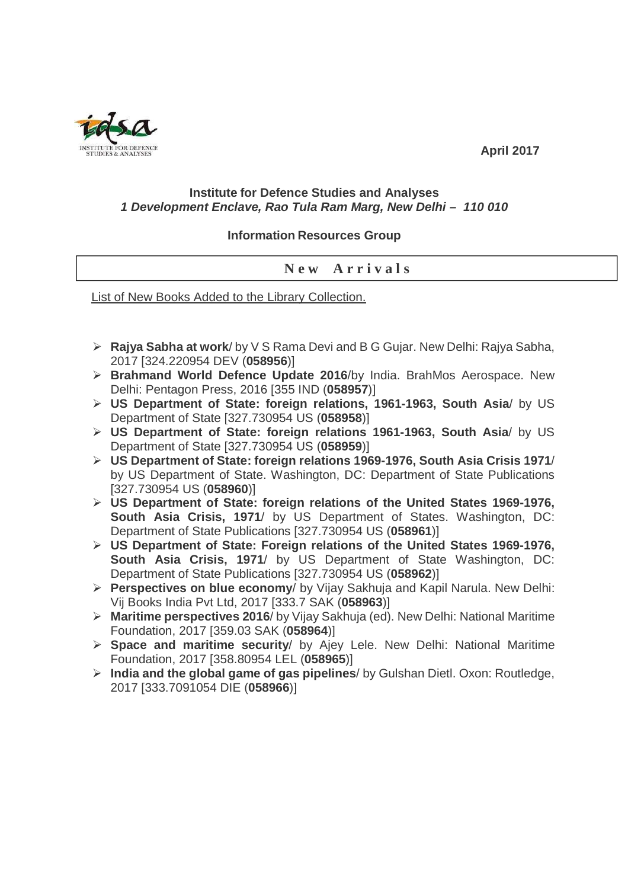

 **April 2017** 

## **Institute for Defence Studies and Analyses 1 Development Enclave, Rao Tula Ram Marg, New Delhi – 110 010**

## **Information Resources Group**

## **N e w A r r i v a l s**

List of New Books Added to the Library Collection.

- **Rajya Sabha at work**/ by V S Rama Devi and B G Gujar. New Delhi: Rajya Sabha, 2017 [324.220954 DEV (**058956**)]
- **Brahmand World Defence Update 2016**/by India. BrahMos Aerospace. New Delhi: Pentagon Press, 2016 [355 IND (**058957**)]
- **US Department of State: foreign relations, 1961-1963, South Asia**/ by US Department of State [327.730954 US (**058958**)]
- **US Department of State: foreign relations 1961-1963, South Asia**/ by US Department of State [327.730954 US (**058959**)]
- **US Department of State: foreign relations 1969-1976, South Asia Crisis 1971**/ by US Department of State. Washington, DC: Department of State Publications [327.730954 US (**058960**)]
- **US Department of State: foreign relations of the United States 1969-1976, South Asia Crisis, 1971**/ by US Department of States. Washington, DC: Department of State Publications [327.730954 US (**058961**)]
- **US Department of State: Foreign relations of the United States 1969-1976, South Asia Crisis, 1971**/ by US Department of State Washington, DC: Department of State Publications [327.730954 US (**058962**)]
- **Perspectives on blue economy**/ by Vijay Sakhuja and Kapil Narula. New Delhi: Vij Books India Pvt Ltd, 2017 [333.7 SAK (**058963**)]
- **Maritime perspectives 2016**/ by Vijay Sakhuja (ed). New Delhi: National Maritime Foundation, 2017 [359.03 SAK (**058964**)]
- **Space and maritime security**/ by Ajey Lele. New Delhi: National Maritime Foundation, 2017 [358.80954 LEL (**058965**)]
- **India and the global game of gas pipelines**/ by Gulshan Dietl. Oxon: Routledge, 2017 [333.7091054 DIE (**058966**)]